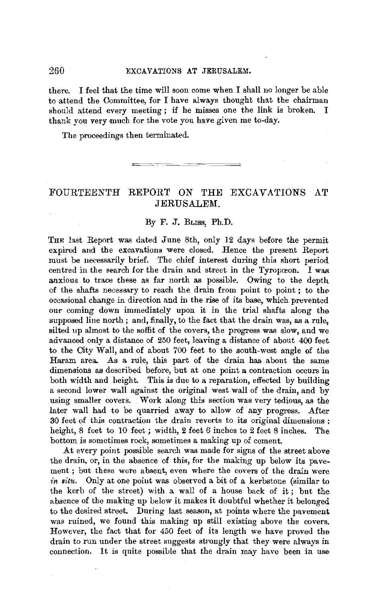#### 260 EXCAVATIONS **AT** JERUSALEM.

there. I feel that the time will soon come when I shall no longer be able to attend the Committee, for I have always thought that the chairman should attend every meeting ; if he misses one the link is broken. I thank you very much for the vote you have given me to-day.

The proceedings then terminated.

# FOURTEENTH REPORT *ON* THE EXCAVATIONS AT JERUSALEM.

#### By F. J. BLISS, Ph.D.

THE last Report was dated June 8th, only 12 days before the permit expired and the excavations were closed. Hence the present Report must be necessarily brief. The chief interest during this short period centred in the search for the drain and street in the Tyropœon. I was anxious to trace these as far north as possible. Owing to the depth of the shafts necessary to reach the drain from point to point ; to the occasional change in direction and in the rise of its base, which prevented our coming down immediately upon it in the trial shafts along the supposed line north; and, finally, to the fact that the drain was, as a rule, silted up almost to the soffit of the covers, the progress was slow, and we advanced only a distance of 250 feet, leaving a distance of about 400 feet to the City Wall, and of about 700 feet to the south-west angle of the Haram area. As a rule, this part of the drain has about the same dimensions as described before, but at one point a contraction occurs in both width and height. This is due to a reparation, effected by building a second lower wall against the original west wall of the drain, and by using smaller covers. Work along this section was very tedious, as the later wall had to be quarried away to allow of any progress. After 30 feet of this contraction the drain reverts to its original dimensions : height, 8 feet to 10 feet *;* width, 2 feet *6* inches to 2 feet 8 inches. The bottom is sometimes rock, sometimes a making up of cement.

At every point possible search was made for signs of the street above the drain, or, in the absence of this, for the making up below its pave. ment ; but these were absent, even where the covers of the drain were *in Bitu.* Only at one point was observed a bit of a kerbstone (similar to the kerb of the street) with a wall of a house back of it ; but the absence of the making up below it makes it doubtful whether it belonged to the desired street. During last season, at points where the pavement was ruined, we found this making up still existing above the covers. However, the fact that for 450 feet of its length we have proved the drain to run under the street suggests strongly that they were always in connection. It is quite possible that the drain may have been in use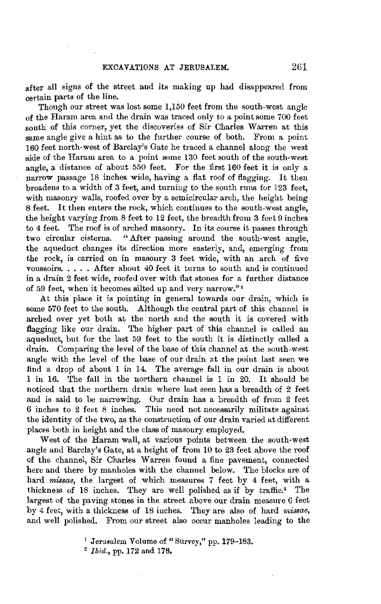after all signs of the street and its making up had disappeared from certain parts of the line.

Though our street was lost some 1,150 feet from the south-west angle of the Haram area and the drain was traced only to a point some 700 feet south of this corner, yet the discoveries of Sir Charles Warren at this same angle give a hint as to the further course of both. From a point 160 feet north-west of Barclay's Gate he traced a channel along the west side of the Haram area to a point some 130 feet south of the south-west angle, a distance of about 550 feet. For the first 160 feet it is only a narrow passage 18 inches wide, having a flat roof of flagging. It then broadens to a width of 3 feet, and turning to the south runs for 123 feet, with masonry walls, roofed over by a semicircular arch, the height being 8 feet. It then enters the rock, which continues to the south-west angle, the height varying from 8 feet to 12 feet, the breadth from 3 feet 9 inches to 4 feet. The roof is of arched masonry. In its course it passes through two circular cisterns. "After passing around the south-west angle. "After passing around the south-west angle, the aqueduct changes its direction more easterly, and, emerging from the rock, is carried on in masonry 3 feet wide, with an arch of five voussoirs, .... .After about 40 feet it turns to south and is continued in a drain 2 feet wide, roofed over with flat stones for a further distance of 59 feet, when it becomes silted up and very narrow." 1

.At this place it is pointing in general towards our drain, which is some 570 feet to the south. Although the central part of this channel is arched over yet both at the north and the south it is covered with flagging like our drain. The higher part of this channel is called an aqueduct, but for the last 59 feet to the south it is distinctly called a drain. Comparing the level of the base of this channel at the south-west angle with the level of the base of our drain at the point last seen we find a drop of about 1 in 14. The average fall in our drain is about 1 in 16. The fall in the northern channel is 1 in 20. It should be noticed that the northern drain where last seen has a breadth of 2 feet and is said to be narrowing. Our drain has a breadth of from 2 feet 6 inches to 2 feet 8 inches. This need not necessarily militate against the identity of the two, as the construction of our drain varied at different places both in height and the class of masonry employed.

West of the Haram wall, at various points between the south-west angle and Barclay's Gate, at a height of from 10 to 23 feet above the roof of the channel, Sir Charles Warren found a fine pavement, connected here and there by manholes with the channel below. The blocks are of hard *miasae,* the largest of which measures 7 feet by 4 feet, with a thickness of 18 inches. They are well polished as if by traffic.<sup>2</sup> The largest of the paving stones in the street above our drain measure 6 feet by 4 feet, with a thickness of 18 inches. They are also of hard *missae,*  and well polished. From our street also occur manholes leading to the

2 *Ibid.,* pp. 172 and 178,

<sup>&</sup>lt;sup>1</sup> Jerusalem Volume of "Survey," pp. 179-183.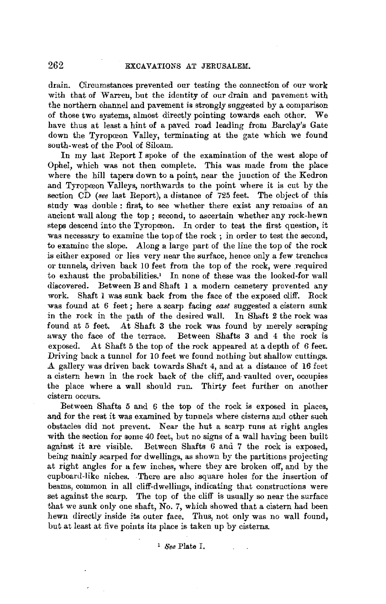drain. Circumstances prevented our testing the connection of our work with that of Warren, but the identity of our drain and pavement with the northern channel and pavement ia strongly suggested by a comparison of those two systems, almost directly pointing towards each other. We have thus at least a hint of a paved road leading from Barclay's Gate down the Tyropœon Valley, terminating at the gate which we found south-west of the Pool of Siloam.

In my last Report I spoke of the examination of the west slope of Ophel, which was not then complete. This was made from the place where the hill tapers down to a point, near the junction of the Kedron and Tyropœon Valleys, northwards to the point where it is cut by the section CD *(see* last Report), a distance of 725 feet. The object of this study was double : first, to see whether there exist any remains of an ancient wall along the top ; second, to ascertain whether any rock-hewn steps descend into the Tyropœon. In order to test the first question, it was necessary to examine the top of the rock ; in order to test the second, to examine the slope. Along a large part of the line the top of the rock is either exposed or lies very near the surface, hence only a few trenches or tunnels, driven back 10 feet from the top of the rock, were required to exhaust the probabilities.• In none of these was the looked-for wall discovered. Between B and Shaft **1** a modern cemetery prevented any work. Shaft I was sunk back from the face of the exposed cliff. Rock was found at 6 feet ; here a scarp facing *east* suggested a cistern sunk in the rock in the path of the desired wall. In Shaft 2 the rock was found at 5 feet. At Shaft 3 the rock was found by merely scraping away the face of the terrace. Between Shafts 3 and 4 the rock is exposed. At Shaft 5 the top of the rock appeared at a depth of *6* feet. Driving back a tunnel for 10 feet we found nothing but shallow cuttings. A gallery was driven back towards Shaft 4, and at a distance of 16 feet a cistern hewn in the rock back of the cliff, and-vaulted over, occupies the place where a wall should run. Thirty feet further on another cistern occurs.

Between Shafts 5 and 6 the top of the rock is exposed in places, and for the rest it was examined by tunnels where cisterns and other such obstacles did not prevent. Near the hut a scarp runs at right angles with the section for some 40 feet, but no signs of a wall having been built against it are visible. Between Shafts 6 and 7 the rock is exposed, being mainly scarped for dwellings, as shown by the partitions projecting at right angles for a few inches, where they are broken off, and by the cupboard-like niches. There are also square holes for the insertion of beams, common in all cliff-dwellings, indicating that constructions were set against the scarp. The top of the cliff is usually so near the surface that we sunk only one shaft, No. 7, which showed that a cistern had been hewn directly inside its outer face. Thus, not only was no wall found, but at least at five points its place is taken up by cisterns.

I *8ee* Plate I.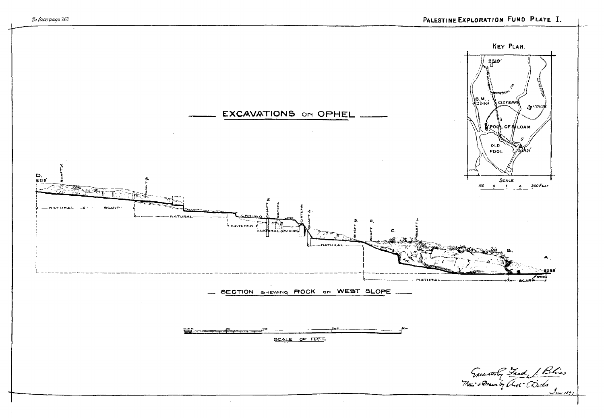

To face page 262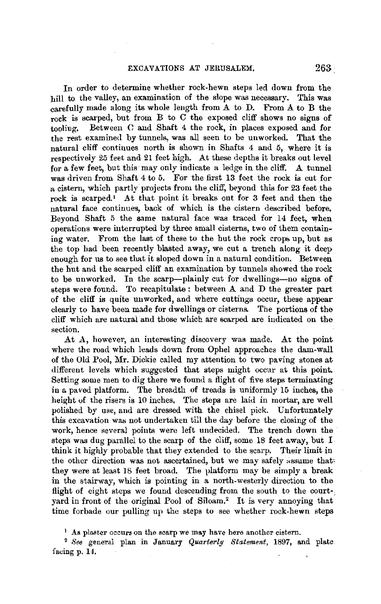Jn order to determine whether rock-hewn steps led down from the hill to the valley, an examination of the slope was necessary. This was carefully made along its whole leugth from A to D. From A to B the rock is scarped, but from B to C the exposed cliff shows no signs of tooling. Between C and Shaft 4 the rock, in places exposed and for Between C and Shaft 4 the rock, in places exposed and for the rest examined by tunnels, was all seen to be unworked. That the natural cliff continues north is shown in Shafts 4 and 5, where it is respectively 25 feet and 21 feet high. At these depths it breaks out level for a few feet, but this may only indicate a ledge in the cliff. A tunnel was driven from Shaft 4 to 5. For the first 13 feet the rock is cut for a cistern, which partly projects from the cliff, beyond this for 23 feet the rock is scarped.' At that point it breaks out for 3 feet and then the natural face continues, back of which is the cistern described before. Beyond Shaft 5 the same natural face was traced for 14 feet, when operations were interrupted by three small cisterns, two of them containing water. From the last of these to the hut the rock crops up, but as the top had been recently blasted away, we cut a trench along it deep enough for us to see that it sloped down in a natural condition. Between the hut and the scarped cliff an examination by tunnels showed the rock to be unworked. In the scarp-plainly cut for dwellings-no signs of steps were found. To recapitulate : between A and D the greater part of the cliff is quite unworked, and where cuttings occur, these appear clearly to have been made for dwellings or cisterns. The portions of the cliff which are naturai and those whicb. are scarped are indicated on the section.

At A, however, an interesting discovery was made. At the point where the road which leads down from Ophel approaches the dam-wall of the Old Pool, Mr. Dickie called my attention to two paving stones at different levels which suggested that steps might occur at this point. Setting some men to dig there we found a flight of five steps terminating in a paved platform. The breadth of treads is uniformly 15 inches, the height of the risers is 10 inches. The steps are laid in mortar, are well polished by use, and are dressed with the chisel pick. Unfortunately this excavation was not undertaken till the day before the closing of the work, hence several points were left undecided. The trench down the steps was dug parallel to the scarp of the cliff, some 18 feet away, but I think it highly probable that they extended to the scarp. Their limit in the other direction was not ascertained, but we may safely assume that: they were at least 18 feet broad. The platform may be simply a break in the stairway, which is pointing in a north-westerly direction to the flight of eight steps we found descending from the south to the court $\cdot$ : yard in front of the original Pool of Siloam.<sup>2</sup> It is very annoying that time forbade our pulling up the steps to see whether rock-hewn steps

 $<sup>1</sup>$  As plaster occurs on the scarp we may have here another cistern.</sup>

<sup>2</sup>*See* general plan in January *Quarterly Statement,* 1897, and plate facing p. 14.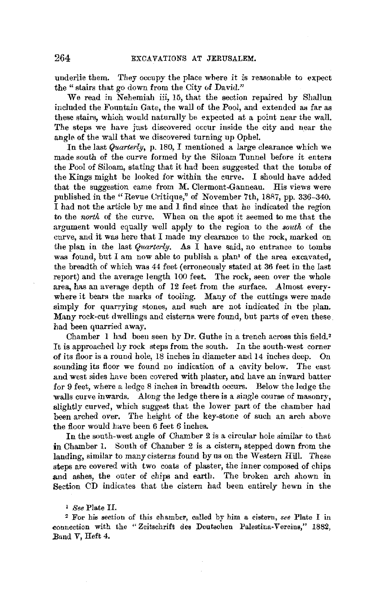underlie them. They occupy the place where it is reasonable to expect the "stairs that go down from the City of David."

We read in Nehemiah iii, 15, that the section repaired by Shallun included the Fountain Gate, the wall of the Pool, and extended as far as these stairs, which would naturally be expected at a point near the wall. The steps we have just discovered occur inside the city and near the angle of the wall that we discovered turning up Ophel.

In the last *Quarterly,* p. 180, I mentioned a large clearance which we made south of the curve formed by the Siloam Tunnel before it enters the Pool of Siloam, stating that it had been suggested that the tombs of the Kings might be looked for within the curve. I should have added that the suggestion came from M. Clermont-Ganneau. His views were published in the "Revue Uritique," of November 7th, 1887, pp. 336-340. I had not the article by me and I find since that he indicated the region to the *north* of the curve. When on the spot it seemed to me that the argument would equally well apply to the region to the *south* of the curve, and it was here that I made my clearance to the rock, marked on the plan in the last *Quarterly*. As  $\overline{I}$  have said, no entrance to tombs was found, but I am now able to publish a plan<sup>1</sup> of the area excavated, the breadth of which was 44 feet (erroneously stated at 36 feet in the last report) and the average length 100 feet. The rock, seen *over* the whole area, has an average depth of 12 feet from the surface. Almost everywhere it bears the marks of tooling. Many of the cuttings were made simply for quarrying stones, and such are not indicated in the plan. Many rock-cut dwellings and cisterns were found, but parts of even these had been quarried away.

Chamber 1 had been seen by Dr. Guthe in a trench across this field. <sup>2</sup> It is approached by rock steps from the south. In the south-west corner of its floor is a round hole, 18 inches in diameter and 14 inches deep. On sounding its floor we found no indication of a cavity below. The east and west sides have been covered with plaster, and have an inward batter for 9 feet, where a ledge 8 inches in breadth occurs. Below the ledge the walls curve inwards. Along the ledge there is a single course of masonry, slightly curved, which suggest that the lower part of the chamber had been arched over. The height of the key-stone of such an arch above the floor would have been 6 feet 6 inches.

In the south-west angle of Chamber 2 is a circular hole similar to that in Chamber 1. South of Chamber 2 is a cistern, stepped down from the landing, similar to many cisterns found by ns on the Western Hill. These steps are covered with two coats of plaster, the inner composed of chips **and** ashes, the outer of chips and earth. The broken arch shown **in**  Section CD indicates that the cistern had been entirely hewn in the

1 *See* Plate II.

<sup>2</sup>For his section of this chamber, called by him a cistern, *see* Plate I in -connection with the "Zcitschrift des Deutschen Palestina-Vereins," 1882, Band V, Heft 4.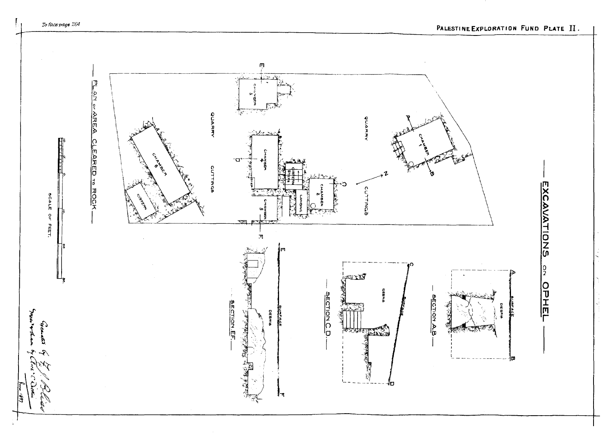

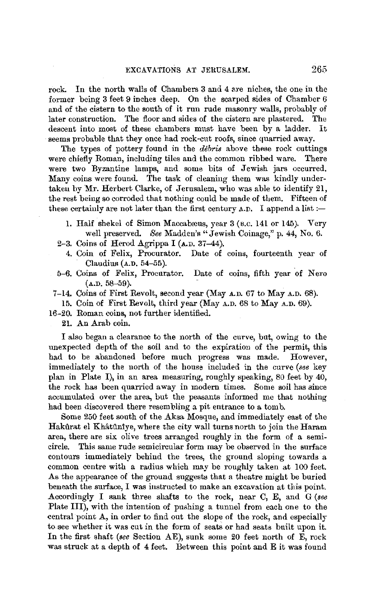rock. In the north walls of Chambers 3 and 4 are niches, the one in the former being 3 feet 9 inches deep. On the scarped sides of Chamber 6 and of the cistern to the south of it run rude masonry walls, probably of later construction. The floor and sides of the cistern are plastered. The descent into most of these chambers must have been by a ladder. It seems probable that they once had rock-cut roofs, since quarried away.

The types of pottery found in the *debris* above these rock cuttings were chiefly Roman, including tiles and the common ribbed ware. There were two Byzantine lamps, and some bits of Jewish jars occurred. Many coins were found. The task of cleaning them was kindly undertaken by Mr. Herbert Clarke, of Jerusalem, who was able to identify 21, the rest being so corroded that nothing could be made of them. Fifteen of these certainly are not later than the first century  $\Lambda$ . I append a list :-

- 1. Half shekel of Simon Maccabæus, year 3 (B.C. 141 or 145). Very well preserved, *See* Madden's "Jewish Coinage," p. 44, No. 6.
- 2-3. Coins of Herod Agrippa I ( $A.D. 37-44$ ).
	- 4. Coin of Felix, Procurator. Date of coins, fourteenth year of Claudius (A.D. 54-55).
- 5-6. Coins of Felix, Procurator. Date of coins, fifth year of Nero  $(A.D. 58-59).$
- 7-14. Coins of First Revolt, second year (May A.D. 67 to May A.D. 68).

15. Coin of First Revolt, third year (May A.D. 68 to May A.D. 69).

16-20. Roman coins, not further identified.

**21.** An Arab coin.

I also began a clearance to the north of the curve, but, owing to the unexpected depth of the soil and to the expiration of the permit, this had to be abandoned before much progress was made. However, immediately to the north of the house included in the curve *(see* key plan in Plate I), in an area measuring, roughly speaking, 80 feet by 40, the rock has been quarried away in modern times. Some soil has since accumulated over the area, but the peasants informed me that nothing had been discovered there resembling a pit entrance to a tomb.

Some 250 feet south of the Aksa Mosque, and immediately east of the Hakûrat el Khâtûnîye, where the city wall turns north to join the Haram area, there are six olive trees arranged roughly in the form of a semicircle. This same rude semicircular form may be observed in the surface contours immediately behind the trees, the ground sloping towards a common centre with a radius which may be roughly taken at 100 feet. As the appearance of the ground suggests that a theatre might be buried beneath the surface, I was instructed to make an excavation at this point. Accordingly I sank three shafts to the rock, near C, E, and G (see Plate III), with the intention of pushing a tunnel from each one to the central point A, in order to find out the slope of the rock, and especially to see whether it was cut in the form of seats or had seats built upon it. In the first shaft *(see* Section AE), sunk some 20 feet north of E, rock was struck at a depth of 4 feet. Between this point and E it was found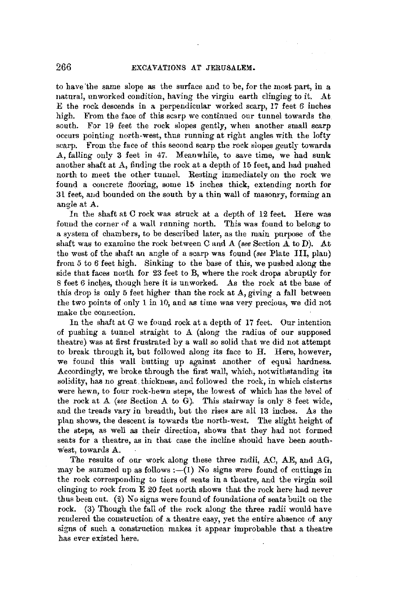to have the same slope as the surface and to be, for the most part, in a natural, unworked condition, having the virgin earth clinging to it. At E the rock descends in a perpendicular worked scarp, 17 feet 6 inches high. From the face of this scarp we continued our tunnel towards the south. For 19 feet the rock slopes gently, when another small scarp occurs pointing north-west, thus running at right angles with the lofty scarp. From the face of this second scarp the rock slopes gently towards .A, falling only 3 feet in 47. Meanwhile, to save time, we had sunk another shaft at A, finding the rock at a depth of 15 feet, and had pushed north to meet the other tunnel. Resting immediately on the rock we found a concrete flooring, some 15 inches thick, extending north for 31 feet, and bounded on the south by a thin wall of masonry, forming an angle at **A.** 

In the shaft at C rock was struck at a depth of 12 feet. Here was found the corner of a wall running north. This was found to belong to a system of chambers, to be described later, as the main purpose of the shaft was to examine the rock between C and A *(see Section A* to D). At the west of the shaft an angle of a scarp was found *(see* Plate III, plau) from 5 to *6* feet high. Sinking to the base of this, we pushed along the side that faces north for 23 feet to B, where the rock drops abruptly for 8 feet 6 inches, though here it is unworked. As the rock at the base of this drop is only 5 feet higher than the rock at A, giving a fall between the two points of only 1 in 10, and as time was very precious, we did not make the connection.

In the shaft at G we found rock at a depth of **17** feet. Our intention of pushing a tunnel straight to A (along the radius of our supposed theatre) was at first frustrated by a wall so solid that we did not attempt to break through it, but followed along its face to H. Here, however, we found this wall butting up against another of equal hardness. Accordingly, we broke through the first wall, which, notwithstanding its solidity, has no great. thickness, and followed the rock, in which cisterns were hewn, to four rock-hewn steps, the lowest of which has the level of the rock at A *(see* Section A to G). This stairway is only 8 feet wide, and the treads vary in breadth, but the rises are all 13 inches. As the plan shows, the descent is towards the north-west, The slight height of the steps, as well as their direction, shows that they had not formed seats for a theatre, as in that case the incline should have been southwest, towards A.

The results of our work along these three radii, AC, AE, and AG, may be summed up as follows :-(I) No signs were found of cuttings in the rock corresponding to tiers of seats in a theatre, and the virgin soil clinging to rock from E 20 feet north shows that the rock here had never thus been cut. (2) No signs were found of foundations of seats built on the rock. (3) Though the fall of the rock along the three radii would have rendered the construction of a theatre easy, yet the entire absence of any signs of such a construction makes it appear improbable that a theatre has ever existed here.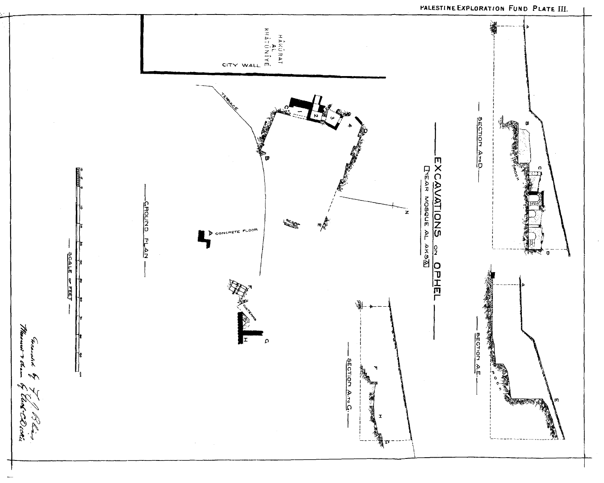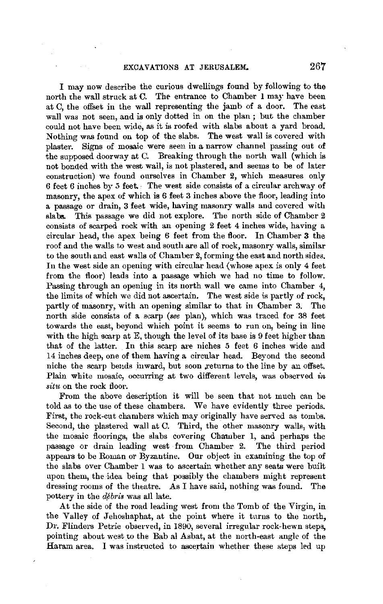I may now describe the curious dwellings found by following to the north the wall struck at C. The entrance to Chamber 1 may have been at C, the offset in the wall representing the jamb of a door. The east wall was not seen, and is only dotted in on the plan; but the chamber could not have been wide, as it is roofed with slabs about a yard broad. Nothing was found on top of the slabs. The west wall is covered with plaster. Signs of mosaic were seen in a narrow channel passing out of the supposed doorway at C. Breaking through the north wall (which is not boncled with the west wall, is not plastered, and seems to be of later construction) we found ourselves in Chamber 2, which measures only 6 feet 6 inches by 5 feet. The west side consists of a circular archway of masonry, the apex of which is 6 feet 3 inches above the floor, leading into a passage or drain, 3 feet wide, having masonry walls and covered with slab& This passage we did not explore. The north side of Chamber 2 consists of scarped rock with an opening 2 feet 4 inches wide, having a circular head, the apex being 6 feet from the floor. In Chamber 3 the roof and the walls to west and south are all of rock, masonry walls, similar to the south and east walls of Chamber 2, forming the east and north sides. In the west side an opening with circular head (whose apex is only 4 feet from the floor) leads into a passage which we had no time to follow. Passing through an opening in its north wall we came into Chamber 4, the limits of which we did not ascertain. The west side is partly of rock, partly of masonry, with an opening similar to that in Chamber 3. The north side consists of a scarp *(see* plan), which was traced for 38 feet towards the east, beyond which point it seems to run on, being in line with the high scarp at E, though the level of its base is 9 feet higher than that of the latter. In this scarp are niches 5 feet 6 inches wide and 14 inches deep, one of them having a circular head. Beyond the second niche the scarp bends inward, but soon .returns to the line by an offset. Plain white mosaic, occurring at two different levels, was observed *in situ* on the rock floor.

From the above description it will be seen that not much can be told as to the use of these chambers. We have evidently three periods. First, the rock-cut chambers which may originally have served as tombs. Second, the plastered wall at C. Third, the other masonry walls, with the mosaic floorings, the slabs covering Chamber 1, and perhaps the passage or drain leading west from Chamber 2. The third period appears to be Roman or Byzantine. Our object in examining the top of the slabs over Chamber 1 was to ascertain whether any seats were built upon them, the idea being that possibly the chambers might represent dressing rooms of the theatre. As I have said, nothing was found. The pottery in the *débris* was all late.

At the side of the road leading west from the Tomb of the Virgin, in the Valley of Jehoshaphat, at the point where it turns to the north, Dr. Flinders Petrie observed, in 1890, several irregular rock-hewn steps, pointing about west to the Bab al Asbat, at the north-east angle of the Haram area. I was instructed to ascertain whether these steps led up